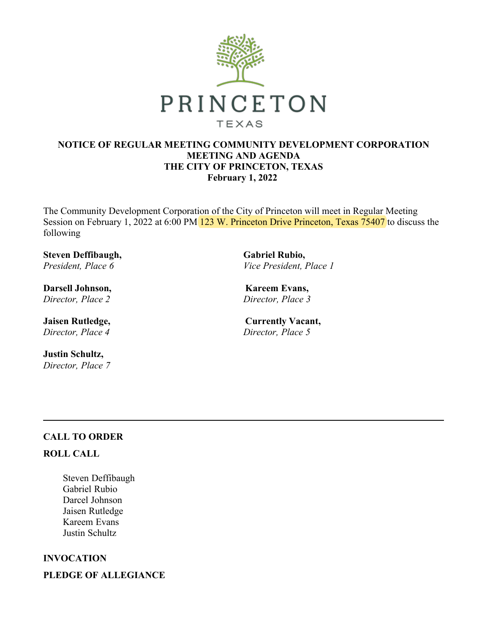

### **NOTICE OF REGULAR MEETING COMMUNITY DEVELOPMENT CORPORATION MEETING AND AGENDA THE CITY OF PRINCETON, TEXAS February 1, 2022**

The Community Development Corporation of the City of Princeton will meet in Regular Meeting Session on February 1, 2022 at 6:00 PM 123 W. Princeton Drive Princeton, Texas 75407 to discuss the following

**Steven Deffibaugh,**  *President, Place 6*

**Darsell Johnson,**  *Director, Place 2* 

**Jaisen Rutledge,**  *Director, Place 4*

**Justin Schultz,**  *Director, Place 7* **Gabriel Rubio,**  *Vice President, Place 1*

**Kareem Evans,**  *Director, Place 3*

**Currently Vacant,**  *Director, Place 5*

# **CALL TO ORDER**

## **ROLL CALL**

Steven Deffibaugh Gabriel Rubio Darcel Johnson Jaisen Rutledge Kareem Evans Justin Schultz

**INVOCATION**

**PLEDGE OF ALLEGIANCE**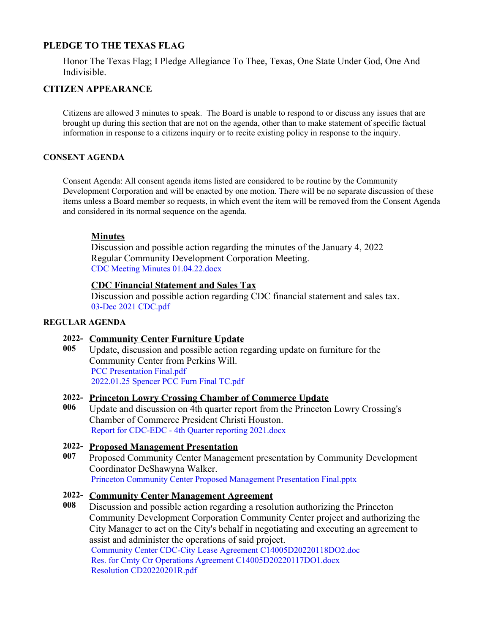### **PLEDGE TO THE TEXAS FLAG**

Honor The Texas Flag; I Pledge Allegiance To Thee, Texas, One State Under God, One And Indivisible.

### **CITIZEN APPEARANCE**

Citizens are allowed 3 minutes to speak. The Board is unable to respond to or discuss any issues that are brought up during this section that are not on the agenda, other than to make statement of specific factual information in response to a citizens inquiry or to recite existing policy in response to the inquiry.

### **CONSENT AGENDA**

Consent Agenda: All consent agenda items listed are considered to be routine by the Community Development Corporation and will be enacted by one motion. There will be no separate discussion of these items unless a Board member so requests, in which event the item will be removed from the Consent Agenda and considered in its normal sequence on the agenda.

### **Minutes**

Discussion and possible action regarding the minutes of the January 4, 2022 Regular Community Development Corporation Meeting. [CDC Meeting Minutes 01.04.22.docx](https://legistarweb-production.s3.amazonaws.com/uploads/attachment/pdf/1214930/CDC_Meeting_Minutes_01.04.22.pdf)

### **CDC Financial Statement and Sales Tax**

Discussion and possible action regarding CDC financial statement and sales tax. [03-Dec 2021 CDC.pdf](https://legistarweb-production.s3.amazonaws.com/uploads/attachment/pdf/1223226/03-Dec_2021_CDC.pdf)

#### **REGULAR AGENDA**

### **2022- Community Center Furniture Update**

**005** Update, discussion and possible action regarding update on furniture for the Community Center from Perkins Will. [PCC Presentation Final.pdf](https://legistarweb-production.s3.amazonaws.com/uploads/attachment/pdf/1225965/PCC_Presentation_Final.pdf) [2022.01.25 Spencer PCC Furn Final TC.pdf](https://legistarweb-production.s3.amazonaws.com/uploads/attachment/pdf/1225966/2022.01.25_Spencer_PCC_Furn_Final_TC.pdf)

#### **2022- Princeton Lowry Crossing Chamber of Commerce Update**

**006** Update and discussion on 4th quarter report from the Princeton Lowry Crossing's Chamber of Commerce President Christi Houston. [Report for CDC-EDC - 4th Quarter reporting 2021.docx](https://legistarweb-production.s3.amazonaws.com/uploads/attachment/pdf/1226105/Report_for_CDC-EDC_-_4th_Quarter_reporting_2021.pdf)

### **2022- Proposed Management Presentation**

**007** Proposed Community Center Management presentation by Community Development Coordinator DeShawyna Walker. [Princeton Community Center Proposed Management Presentation Final.pptx](https://legistarweb-production.s3.amazonaws.com/uploads/attachment/pdf/1225985/Princeton_Community_Center_Proposed_Management_Presentation_Final.pdf)

#### **2022- Community Center Management Agreement**

**008** Discussion and possible action regarding a resolution authorizing the Princeton Community Development Corporation Community Center project and authorizing the City Manager to act on the City's behalf in negotiating and executing an agreement to assist and administer the operations of said project. [Community Center CDC-City Lease Agreement C14005D20220118DO2.doc](https://legistarweb-production.s3.amazonaws.com/uploads/attachment/pdf/1225980/Community_Center_CDC-City_Lease_Agreement_C14005D20220118DO2.pdf)

[Res. for Cmty Ctr Operations Agreement C14005D20220117DO1.docx](https://legistarweb-production.s3.amazonaws.com/uploads/attachment/pdf/1225981/Res._for_Cmty_Ctr_Operations_Agreement_C14005D20220117DO1.pdf) [Resolution CD20220201R.pdf](https://legistarweb-production.s3.amazonaws.com/uploads/attachment/pdf/1227029/Resolution_CD20220201R.pdf)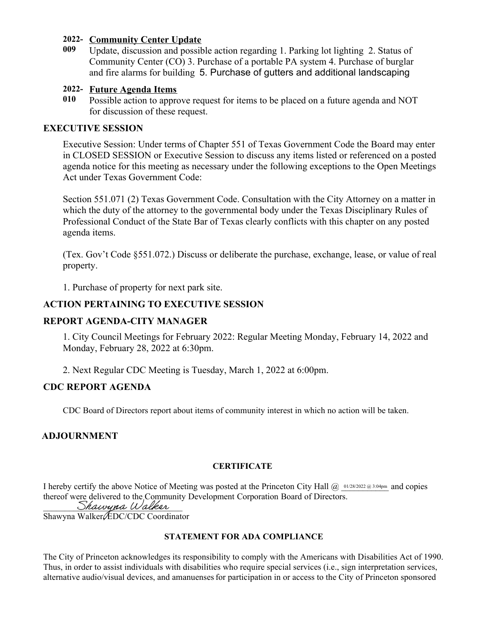### **2022- Community Center Update**

**009** Update, discussion and possible action regarding 1. Parking lot lighting 2. Status of Community Center (CO) 3. Purchase of a portable PA system 4. Purchase of burglar and fire alarms for building 5. Purchase of gutters and additional landscaping

### **2022- Future Agenda Items**

**010** Possible action to approve request for items to be placed on a future agenda and NOT for discussion of these request.

### **EXECUTIVE SESSION**

Executive Session: Under terms of Chapter 551 of Texas Government Code the Board may enter in CLOSED SESSION or Executive Session to discuss any items listed or referenced on a posted agenda notice for this meeting as necessary under the following exceptions to the Open Meetings Act under Texas Government Code:

Section 551.071 (2) Texas Government Code. Consultation with the City Attorney on a matter in which the duty of the attorney to the governmental body under the Texas Disciplinary Rules of Professional Conduct of the State Bar of Texas clearly conflicts with this chapter on any posted agenda items.

(Tex. Gov't Code §551.072.) Discuss or deliberate the purchase, exchange, lease, or value of real property.

1. Purchase of property for next park site.

### **ACTION PERTAINING TO EXECUTIVE SESSION**

### **REPORT AGENDA-CITY MANAGER**

1. City Council Meetings for February 2022: Regular Meeting Monday, February 14, 2022 and Monday, February 28, 2022 at 6:30pm.

2. Next Regular CDC Meeting is Tuesday, March 1, 2022 at 6:00pm.

### **CDC REPORT AGENDA**

CDC Board of Directors report about items of community interest in which no action will be taken.

### **ADJOURNMENT**

#### **CERTIFICATE**

I hereby certify the above Notice of Meeting was posted at the Princeton City Hall @ \_\_\_\_\_\_\_\_\_\_\_ and copies 01/28/2022 @ 3:04pm thereof were delivered to the Community Development Corporation Board of Directors.

## Shawyna Walker

Shawyna Walker *EDC*/CDC Coordinator

### **STATEMENT FOR ADA COMPLIANCE**

The City of Princeton acknowledges its responsibility to comply with the Americans with Disabilities Act of 1990. Thus, in order to assist individuals with disabilities who require special services (i.e., sign interpretation services, alternative audio/visual devices, and amanuenses for participation in or access to the City of Princeton sponsored